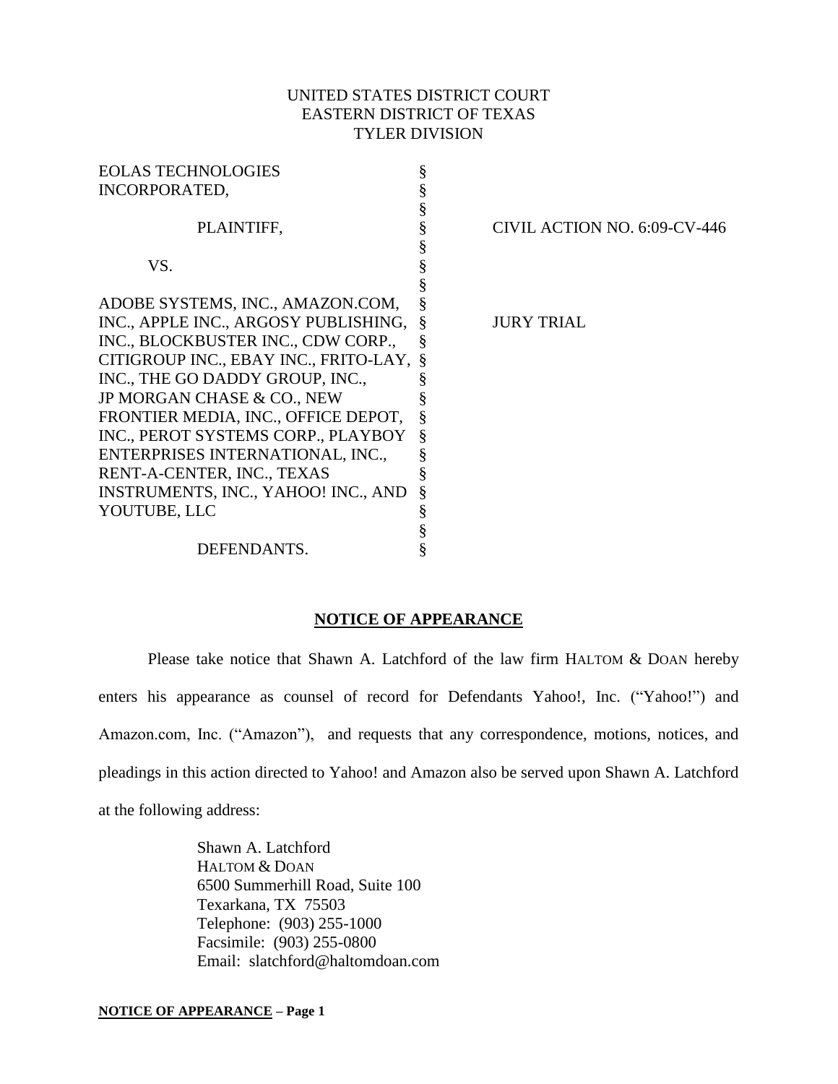## UNITED STATES DISTRICT COURT EASTERN DISTRICT OF TEXAS TYLER DIVISION

| <b>EOLAS TECHNOLOGIES</b>               |                                   |
|-----------------------------------------|-----------------------------------|
| <b>INCORPORATED,</b>                    |                                   |
|                                         |                                   |
| PLAINTIFF,                              | CIVIL ACTION NO. 6:09-CV-446<br>§ |
|                                         |                                   |
| VS.                                     | §                                 |
|                                         |                                   |
| ADOBE SYSTEMS, INC., AMAZON.COM,        | ş                                 |
| INC., APPLE INC., ARGOSY PUBLISHING,    | <b>JURY TRIAL</b>                 |
| INC., BLOCKBUSTER INC., CDW CORP.,      |                                   |
| CITIGROUP INC., EBAY INC., FRITO-LAY, § |                                   |
| INC., THE GO DADDY GROUP, INC.,         |                                   |
| JP MORGAN CHASE & CO., NEW              |                                   |
| FRONTIER MEDIA, INC., OFFICE DEPOT,     |                                   |
| INC., PEROT SYSTEMS CORP., PLAYBOY      | §                                 |
| ENTERPRISES INTERNATIONAL, INC.,        | §                                 |
| RENT-A-CENTER, INC., TEXAS              |                                   |
| INSTRUMENTS, INC., YAHOO! INC., AND     | §                                 |
| YOUTUBE, LLC                            | §                                 |
|                                         |                                   |
| DEFENDANTS.                             |                                   |

## **NOTICE OF APPEARANCE**

Please take notice that Shawn A. Latchford of the law firm HALTOM & DOAN hereby enters his appearance as counsel of record for Defendants Yahoo!, Inc. ("Yahoo!") and Amazon.com, Inc. ("Amazon"), and requests that any correspondence, motions, notices, and pleadings in this action directed to Yahoo! and Amazon also be served upon Shawn A. Latchford at the following address:

> Shawn A. Latchford HALTOM & DOAN 6500 Summerhill Road, Suite 100 Texarkana, TX 75503 Telephone: (903) 255-1000 Facsimile: (903) 255-0800 Email: slatchford@haltomdoan.com

#### **NOTICE OF APPEARANCE – Page 1**